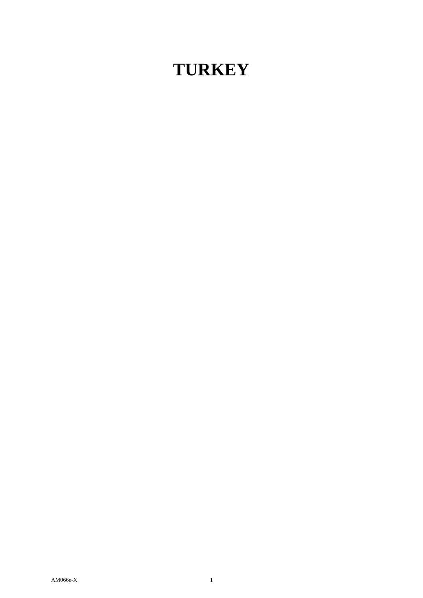# **TURKEY**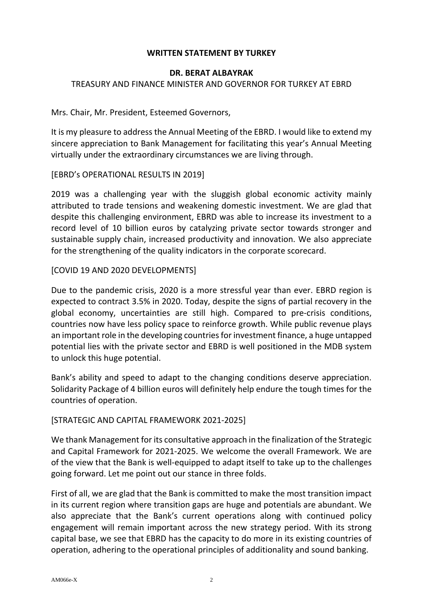## **WRITTEN STATEMENT BY TURKEY**

#### **DR. BERAT ALBAYRAK**

#### TREASURY AND FINANCE MINISTER AND GOVERNOR FOR TURKEY AT EBRD

Mrs. Chair, Mr. President, Esteemed Governors,

It is my pleasure to address the Annual Meeting of the EBRD. I would like to extend my sincere appreciation to Bank Management for facilitating this year's Annual Meeting virtually under the extraordinary circumstances we are living through.

#### [EBRD's OPERATIONAL RESULTS IN 2019]

2019 was a challenging year with the sluggish global economic activity mainly attributed to trade tensions and weakening domestic investment. We are glad that despite this challenging environment, EBRD was able to increase its investment to a record level of 10 billion euros by catalyzing private sector towards stronger and sustainable supply chain, increased productivity and innovation. We also appreciate for the strengthening of the quality indicators in the corporate scorecard.

## [COVID 19 AND 2020 DEVELOPMENTS]

Due to the pandemic crisis, 2020 is a more stressful year than ever. EBRD region is expected to contract 3.5% in 2020. Today, despite the signs of partial recovery in the global economy, uncertainties are still high. Compared to pre-crisis conditions, countries now have less policy space to reinforce growth. While public revenue plays an important role in the developing countries for investment finance, a huge untapped potential lies with the private sector and EBRD is well positioned in the MDB system to unlock this huge potential.

Bank's ability and speed to adapt to the changing conditions deserve appreciation. Solidarity Package of 4 billion euros will definitely help endure the tough times for the countries of operation.

## [STRATEGIC AND CAPITAL FRAMEWORK 2021-2025]

We thank Management for its consultative approach in the finalization of the Strategic and Capital Framework for 2021-2025. We welcome the overall Framework. We are of the view that the Bank is well-equipped to adapt itself to take up to the challenges going forward. Let me point out our stance in three folds.

First of all, we are glad that the Bank is committed to make the most transition impact in its current region where transition gaps are huge and potentials are abundant. We also appreciate that the Bank's current operations along with continued policy engagement will remain important across the new strategy period. With its strong capital base, we see that EBRD has the capacity to do more in its existing countries of operation, adhering to the operational principles of additionality and sound banking.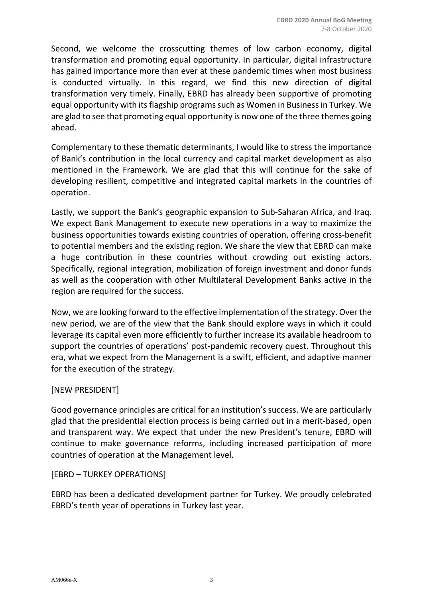Second, we welcome the crosscutting themes of low carbon economy, digital transformation and promoting equal opportunity. In particular, digital infrastructure has gained importance more than ever at these pandemic times when most business is conducted virtually. In this regard, we find this new direction of digital transformation very timely. Finally, EBRD has already been supportive of promoting equal opportunity with its flagship programs such as Women in Business in Turkey. We are glad to see that promoting equal opportunity is now one of the three themes going ahead.

Complementary to these thematic determinants, I would like to stress the importance of Bank's contribution in the local currency and capital market development as also mentioned in the Framework. We are glad that this will continue for the sake of developing resilient, competitive and integrated capital markets in the countries of operation.

Lastly, we support the Bank's geographic expansion to Sub-Saharan Africa, and Iraq. We expect Bank Management to execute new operations in a way to maximize the business opportunities towards existing countries of operation, offering cross-benefit to potential members and the existing region. We share the view that EBRD can make a huge contribution in these countries without crowding out existing actors. Specifically, regional integration, mobilization of foreign investment and donor funds as well as the cooperation with other Multilateral Development Banks active in the region are required for the success.

Now, we are looking forward to the effective implementation of the strategy. Over the new period, we are of the view that the Bank should explore ways in which it could leverage its capital even more efficiently to further increase its available headroom to support the countries of operations' post-pandemic recovery quest. Throughout this era, what we expect from the Management is a swift, efficient, and adaptive manner for the execution of the strategy.

## [NEW PRESIDENT]

Good governance principles are critical for an institution's success. We are particularly glad that the presidential election process is being carried out in a merit-based, open and transparent way. We expect that under the new President's tenure, EBRD will continue to make governance reforms, including increased participation of more countries of operation at the Management level.

#### [EBRD – TURKEY OPERATIONS]

EBRD has been a dedicated development partner for Turkey. We proudly celebrated EBRD's tenth year of operations in Turkey last year.